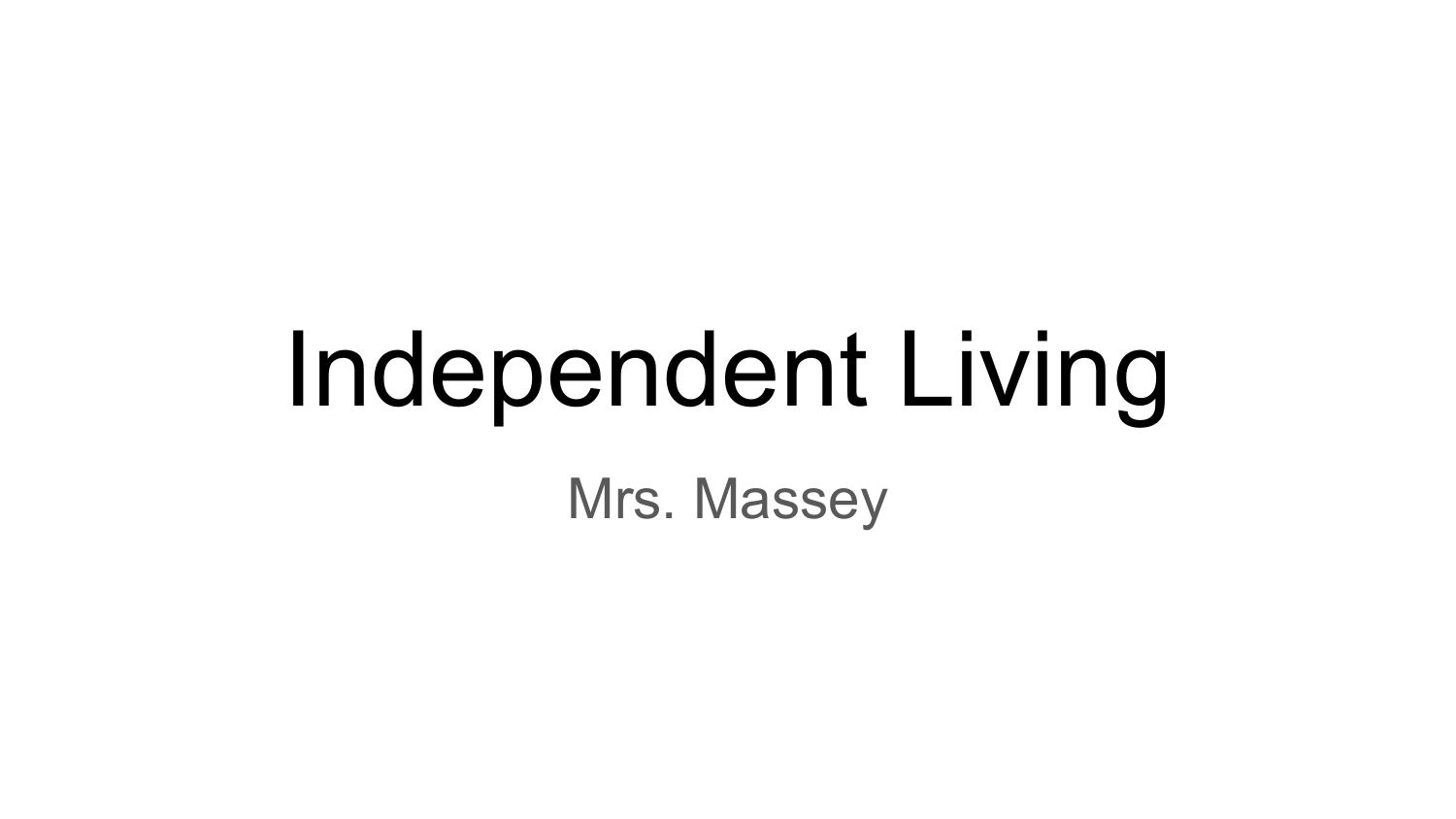# Independent Living Mrs. Massey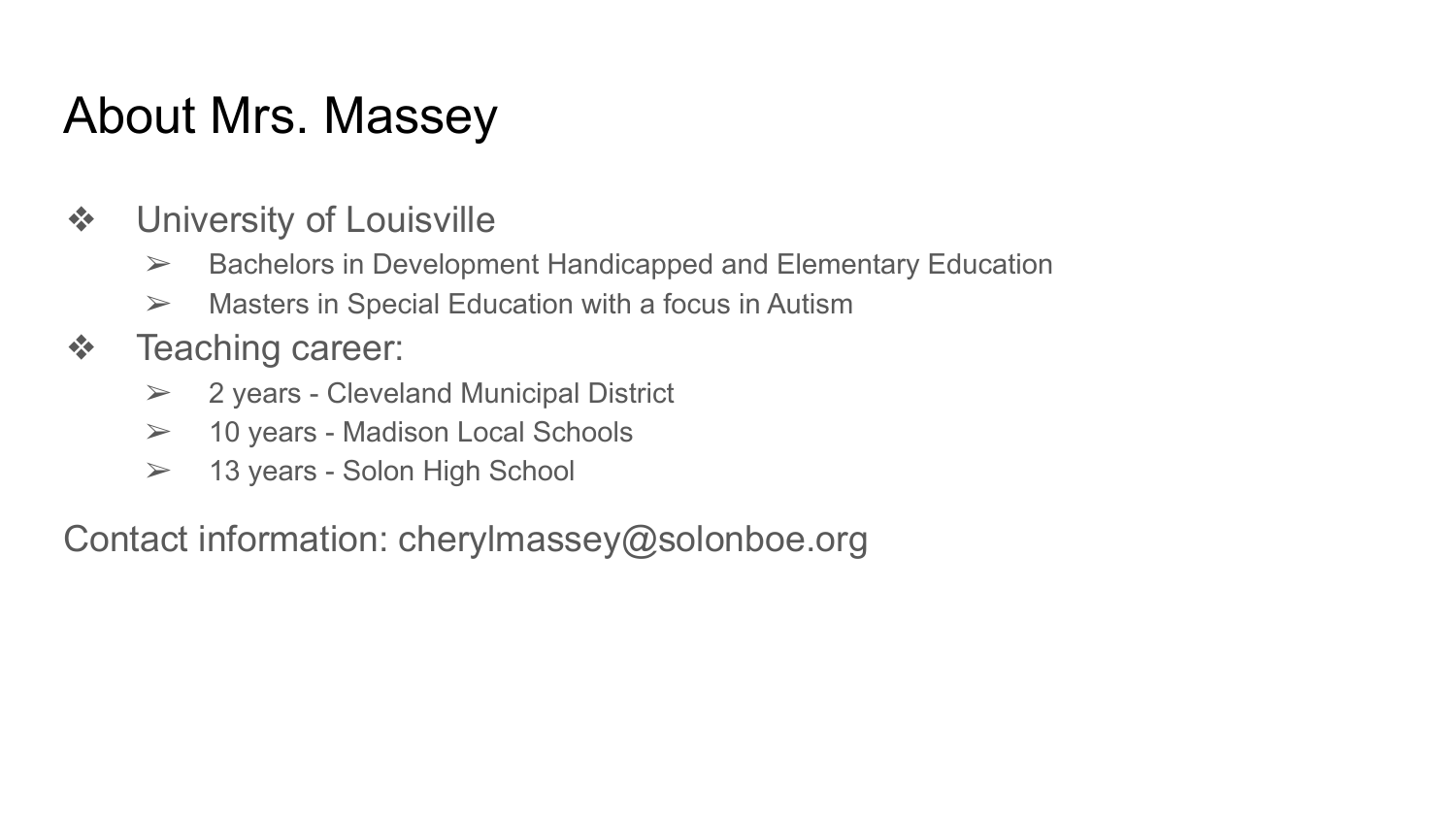## About Mrs. Massey

- ❖ University of Louisville
	- $\triangleright$  Bachelors in Development Handicapped and Elementary Education
	- $\triangleright$  Masters in Special Education with a focus in Autism
- ❖ Teaching career:
	- $\geq$  2 years Cleveland Municipal District
	- ➢ 10 years Madison Local Schools
	- $\geq$  13 years Solon High School

Contact information: cherylmassey@solonboe.org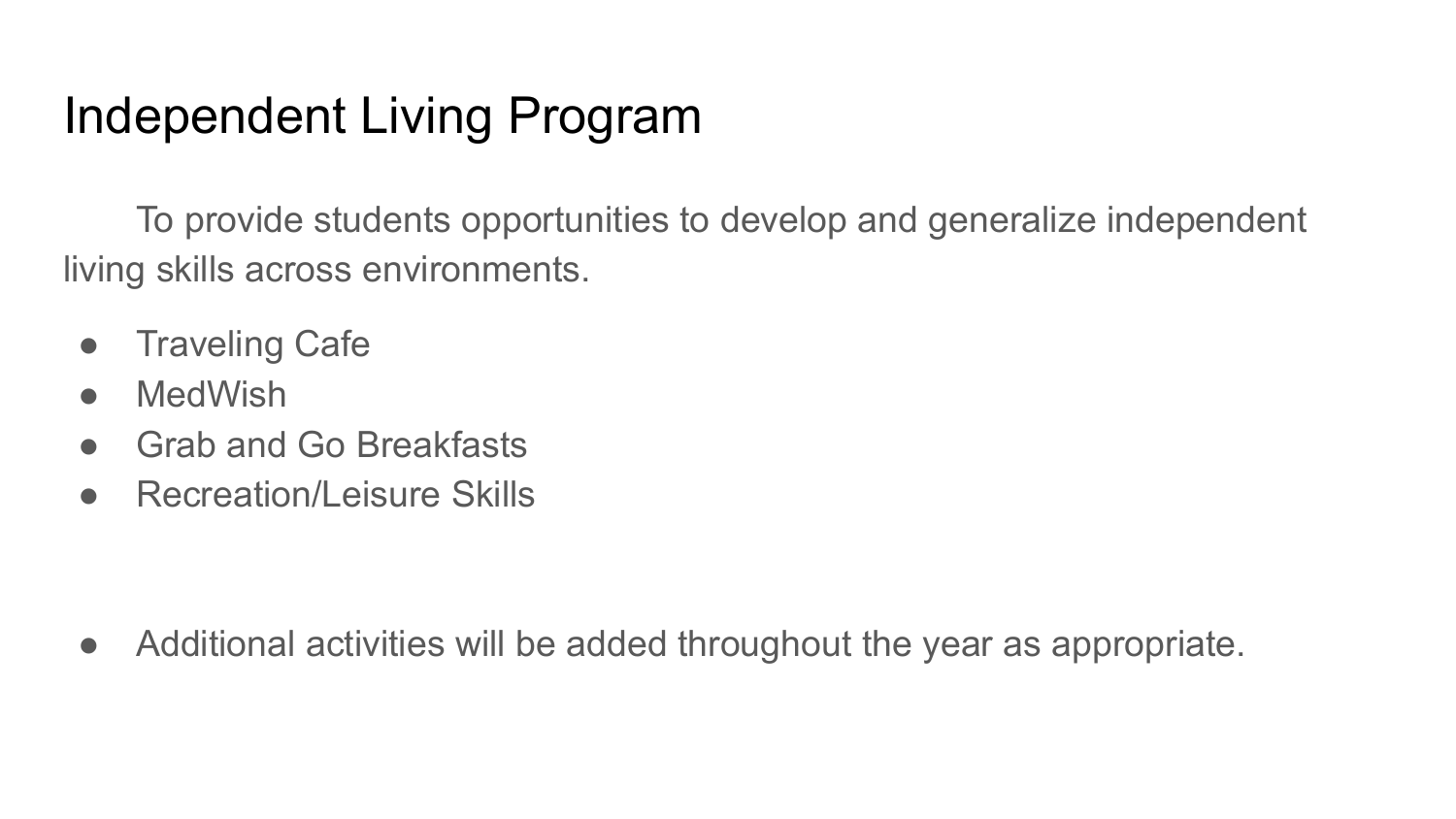# Independent Living Program

To provide students opportunities to develop and generalize independent living skills across environments.

- Traveling Cafe
- MedWish
- Grab and Go Breakfasts
- Recreation/Leisure Skills

• Additional activities will be added throughout the year as appropriate.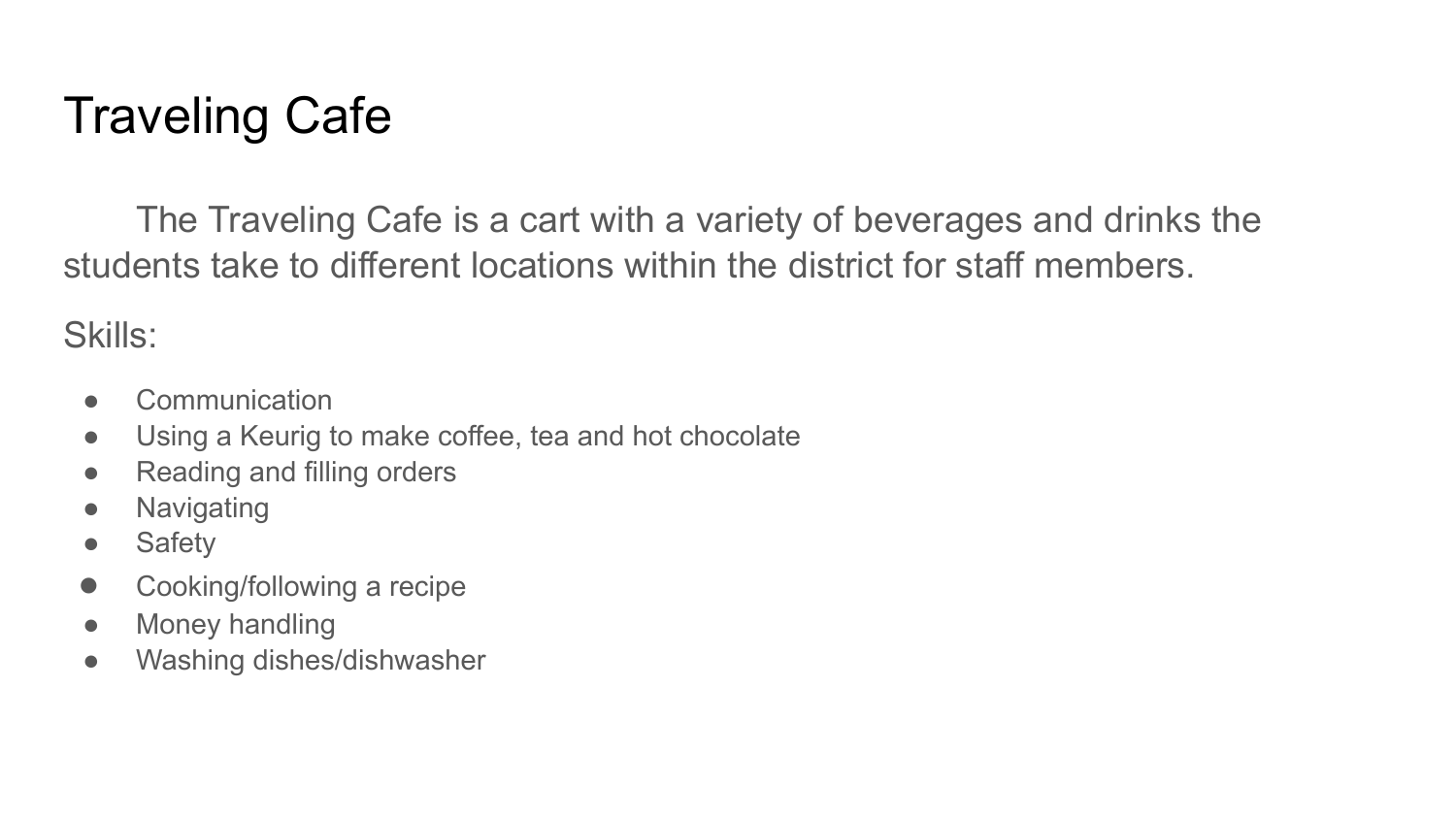# Traveling Cafe

The Traveling Cafe is a cart with a variety of beverages and drinks the students take to different locations within the district for staff members.

Skills:

- Communication
- Using a Keurig to make coffee, tea and hot chocolate
- Reading and filling orders
- Navigating
- Safety
- Cooking/following a recipe
- Money handling
- Washing dishes/dishwasher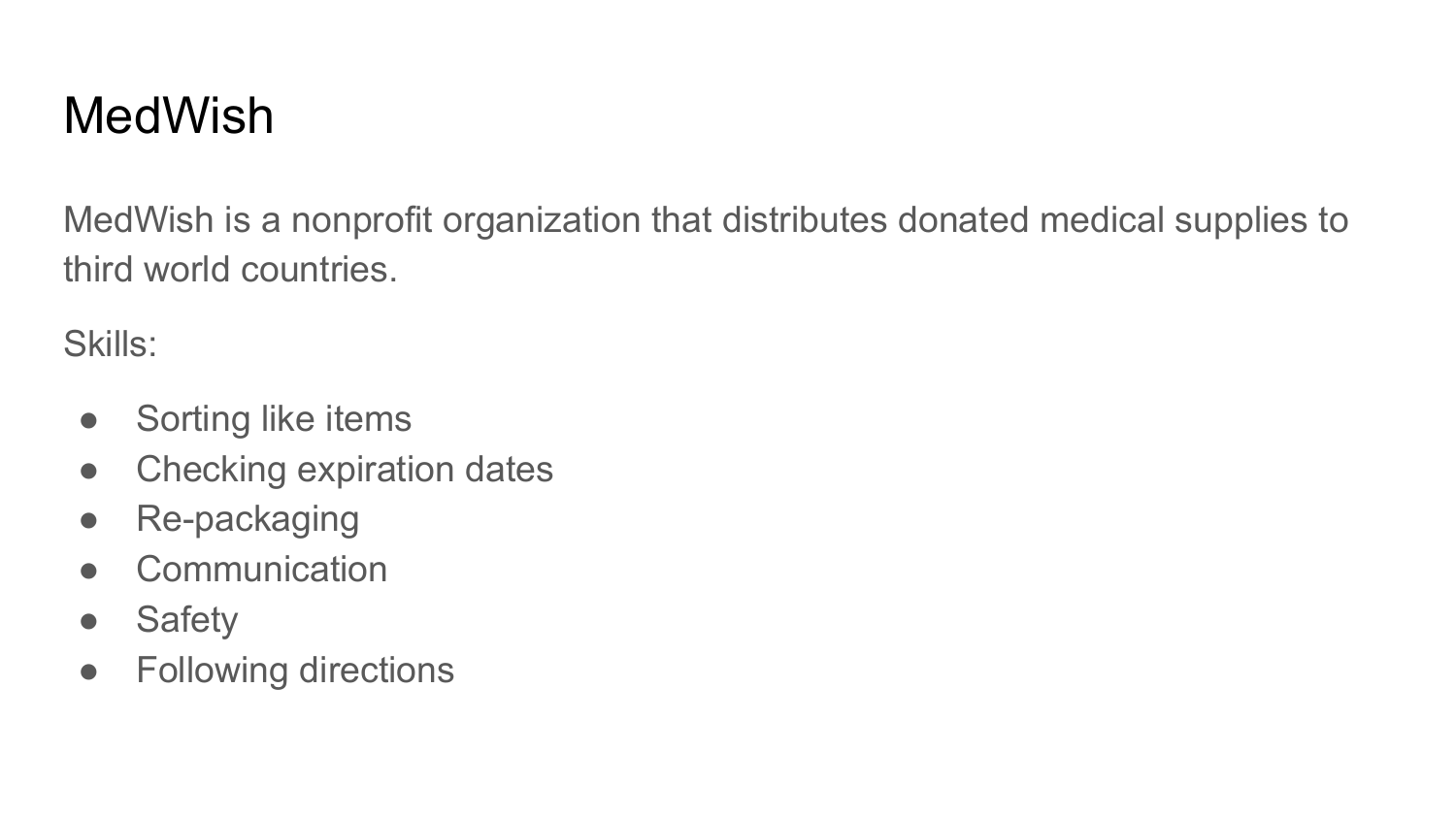# MedWish

MedWish is a nonprofit organization that distributes donated medical supplies to third world countries.

Skills:

- Sorting like items
- Checking expiration dates
- Re-packaging
- Communication
- Safety
- Following directions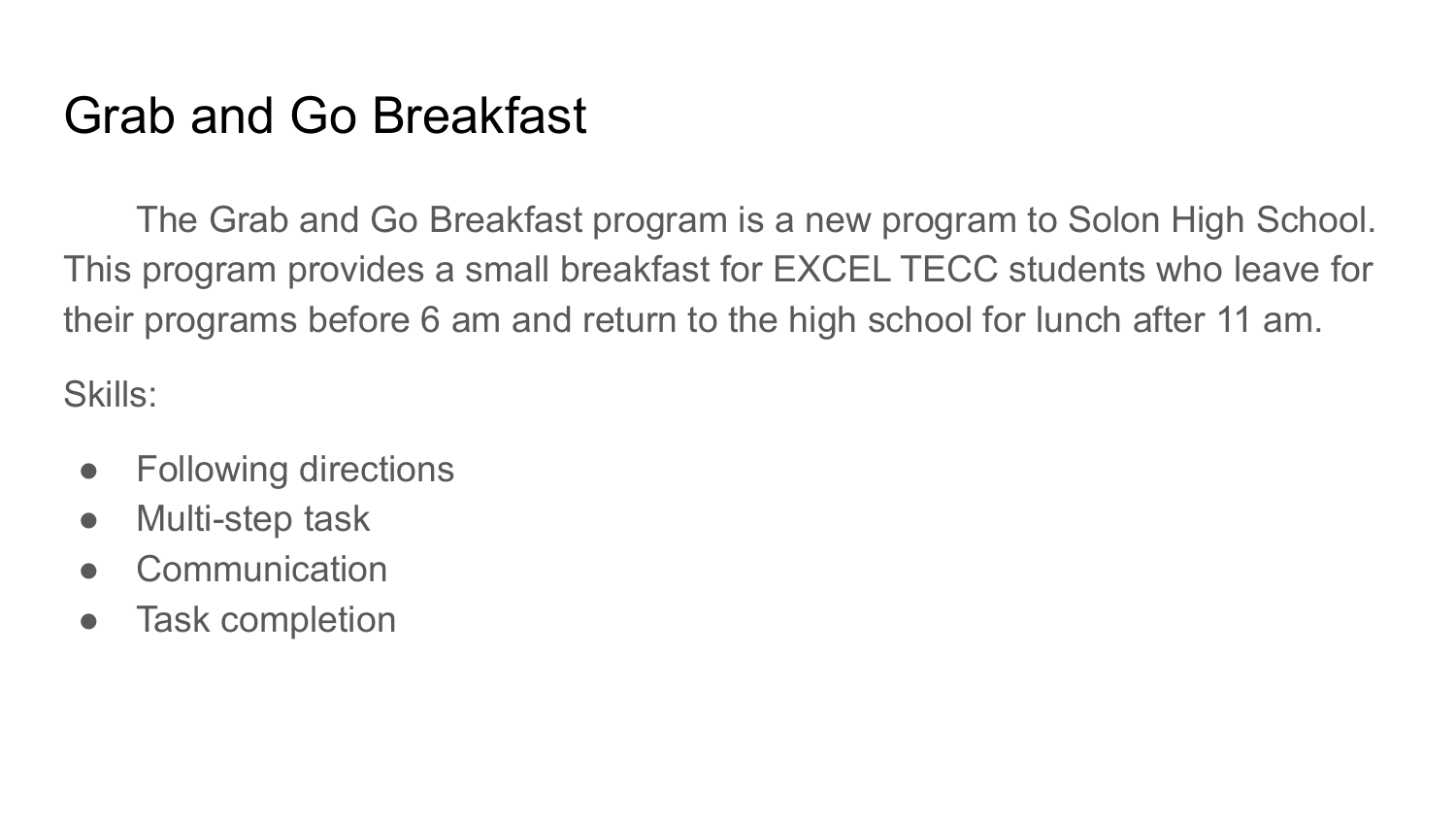### Grab and Go Breakfast

The Grab and Go Breakfast program is a new program to Solon High School. This program provides a small breakfast for EXCEL TECC students who leave for their programs before 6 am and return to the high school for lunch after 11 am.

Skills:

- Following directions
- Multi-step task
- Communication
- Task completion